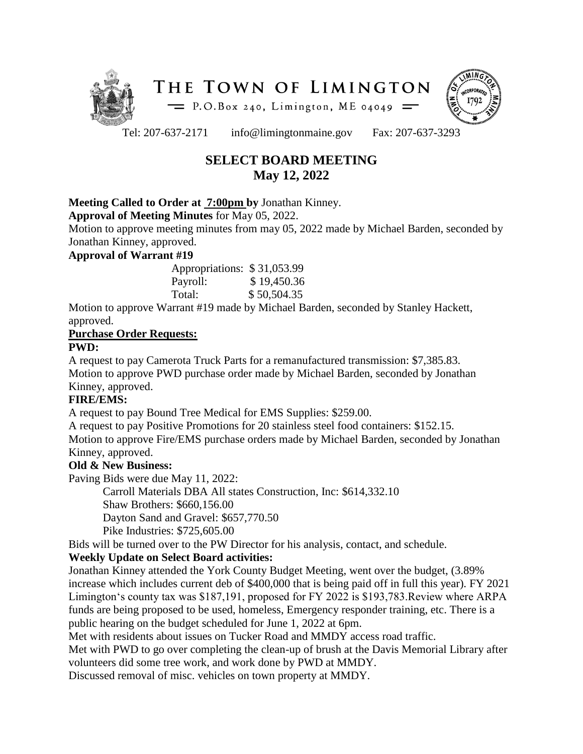



Tel: 207-637-2171 info@limingtonmaine.gov Fax: 207-637-3293

# **SELECT BOARD MEETING May 12, 2022**

### **Meeting Called to Order at 7:00pm by** Jonathan Kinney.

**Approval of Meeting Minutes** for May 05, 2022.

Motion to approve meeting minutes from may 05, 2022 made by Michael Barden, seconded by Jonathan Kinney, approved.

#### **Approval of Warrant #19**

| Appropriations: \$31,053.99 |             |
|-----------------------------|-------------|
| Payroll:                    | \$19,450.36 |
| Total:                      | \$50,504.35 |

Motion to approve Warrant #19 made by Michael Barden, seconded by Stanley Hackett, approved.

# **Purchase Order Requests:**

### **PWD:**

A request to pay Camerota Truck Parts for a remanufactured transmission: \$7,385.83. Motion to approve PWD purchase order made by Michael Barden, seconded by Jonathan Kinney, approved.

# **FIRE/EMS:**

A request to pay Bound Tree Medical for EMS Supplies: \$259.00.

A request to pay Positive Promotions for 20 stainless steel food containers: \$152.15.

Motion to approve Fire/EMS purchase orders made by Michael Barden, seconded by Jonathan Kinney, approved.

#### **Old & New Business:**

Paving Bids were due May 11, 2022:

Carroll Materials DBA All states Construction, Inc: \$614,332.10

Shaw Brothers: \$660,156.00

Dayton Sand and Gravel: \$657,770.50

Pike Industries: \$725,605.00

Bids will be turned over to the PW Director for his analysis, contact, and schedule.

# **Weekly Update on Select Board activities:**

Jonathan Kinney attended the York County Budget Meeting, went over the budget, (3.89% increase which includes current deb of \$400,000 that is being paid off in full this year). FY 2021 Limington's county tax was \$187,191, proposed for FY 2022 is \$193,783.Review where ARPA funds are being proposed to be used, homeless, Emergency responder training, etc. There is a public hearing on the budget scheduled for June 1, 2022 at 6pm.

Met with residents about issues on Tucker Road and MMDY access road traffic.

Met with PWD to go over completing the clean-up of brush at the Davis Memorial Library after volunteers did some tree work, and work done by PWD at MMDY.

Discussed removal of misc. vehicles on town property at MMDY.